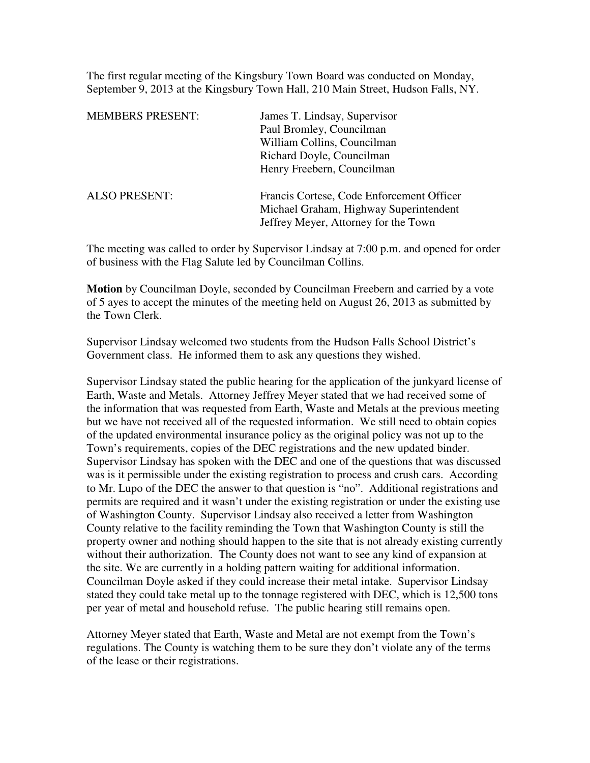The first regular meeting of the Kingsbury Town Board was conducted on Monday, September 9, 2013 at the Kingsbury Town Hall, 210 Main Street, Hudson Falls, NY.

| <b>MEMBERS PRESENT:</b> | James T. Lindsay, Supervisor                                                                                                |
|-------------------------|-----------------------------------------------------------------------------------------------------------------------------|
|                         | Paul Bromley, Councilman                                                                                                    |
|                         | William Collins, Councilman                                                                                                 |
|                         | Richard Doyle, Councilman                                                                                                   |
|                         | Henry Freebern, Councilman                                                                                                  |
| <b>ALSO PRESENT:</b>    | Francis Cortese, Code Enforcement Officer<br>Michael Graham, Highway Superintendent<br>Jeffrey Meyer, Attorney for the Town |

The meeting was called to order by Supervisor Lindsay at 7:00 p.m. and opened for order of business with the Flag Salute led by Councilman Collins.

**Motion** by Councilman Doyle, seconded by Councilman Freebern and carried by a vote of 5 ayes to accept the minutes of the meeting held on August 26, 2013 as submitted by the Town Clerk.

Supervisor Lindsay welcomed two students from the Hudson Falls School District's Government class. He informed them to ask any questions they wished.

Supervisor Lindsay stated the public hearing for the application of the junkyard license of Earth, Waste and Metals. Attorney Jeffrey Meyer stated that we had received some of the information that was requested from Earth, Waste and Metals at the previous meeting but we have not received all of the requested information. We still need to obtain copies of the updated environmental insurance policy as the original policy was not up to the Town's requirements, copies of the DEC registrations and the new updated binder. Supervisor Lindsay has spoken with the DEC and one of the questions that was discussed was is it permissible under the existing registration to process and crush cars. According to Mr. Lupo of the DEC the answer to that question is "no". Additional registrations and permits are required and it wasn't under the existing registration or under the existing use of Washington County. Supervisor Lindsay also received a letter from Washington County relative to the facility reminding the Town that Washington County is still the property owner and nothing should happen to the site that is not already existing currently without their authorization. The County does not want to see any kind of expansion at the site. We are currently in a holding pattern waiting for additional information. Councilman Doyle asked if they could increase their metal intake. Supervisor Lindsay stated they could take metal up to the tonnage registered with DEC, which is 12,500 tons per year of metal and household refuse. The public hearing still remains open.

Attorney Meyer stated that Earth, Waste and Metal are not exempt from the Town's regulations. The County is watching them to be sure they don't violate any of the terms of the lease or their registrations.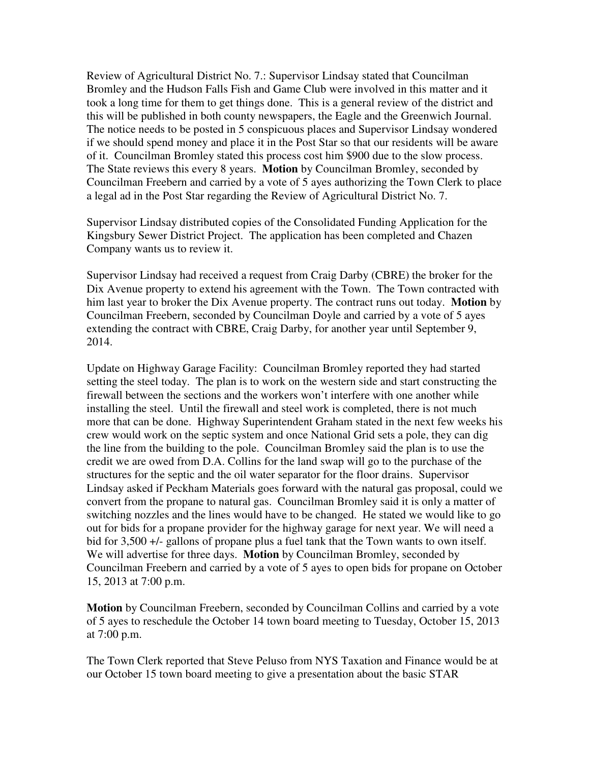Review of Agricultural District No. 7.: Supervisor Lindsay stated that Councilman Bromley and the Hudson Falls Fish and Game Club were involved in this matter and it took a long time for them to get things done. This is a general review of the district and this will be published in both county newspapers, the Eagle and the Greenwich Journal. The notice needs to be posted in 5 conspicuous places and Supervisor Lindsay wondered if we should spend money and place it in the Post Star so that our residents will be aware of it. Councilman Bromley stated this process cost him \$900 due to the slow process. The State reviews this every 8 years. **Motion** by Councilman Bromley, seconded by Councilman Freebern and carried by a vote of 5 ayes authorizing the Town Clerk to place a legal ad in the Post Star regarding the Review of Agricultural District No. 7.

Supervisor Lindsay distributed copies of the Consolidated Funding Application for the Kingsbury Sewer District Project. The application has been completed and Chazen Company wants us to review it.

Supervisor Lindsay had received a request from Craig Darby (CBRE) the broker for the Dix Avenue property to extend his agreement with the Town. The Town contracted with him last year to broker the Dix Avenue property. The contract runs out today. **Motion** by Councilman Freebern, seconded by Councilman Doyle and carried by a vote of 5 ayes extending the contract with CBRE, Craig Darby, for another year until September 9, 2014.

Update on Highway Garage Facility: Councilman Bromley reported they had started setting the steel today. The plan is to work on the western side and start constructing the firewall between the sections and the workers won't interfere with one another while installing the steel. Until the firewall and steel work is completed, there is not much more that can be done. Highway Superintendent Graham stated in the next few weeks his crew would work on the septic system and once National Grid sets a pole, they can dig the line from the building to the pole. Councilman Bromley said the plan is to use the credit we are owed from D.A. Collins for the land swap will go to the purchase of the structures for the septic and the oil water separator for the floor drains. Supervisor Lindsay asked if Peckham Materials goes forward with the natural gas proposal, could we convert from the propane to natural gas. Councilman Bromley said it is only a matter of switching nozzles and the lines would have to be changed. He stated we would like to go out for bids for a propane provider for the highway garage for next year. We will need a bid for 3,500 +/- gallons of propane plus a fuel tank that the Town wants to own itself. We will advertise for three days. **Motion** by Councilman Bromley, seconded by Councilman Freebern and carried by a vote of 5 ayes to open bids for propane on October 15, 2013 at 7:00 p.m.

**Motion** by Councilman Freebern, seconded by Councilman Collins and carried by a vote of 5 ayes to reschedule the October 14 town board meeting to Tuesday, October 15, 2013 at 7:00 p.m.

The Town Clerk reported that Steve Peluso from NYS Taxation and Finance would be at our October 15 town board meeting to give a presentation about the basic STAR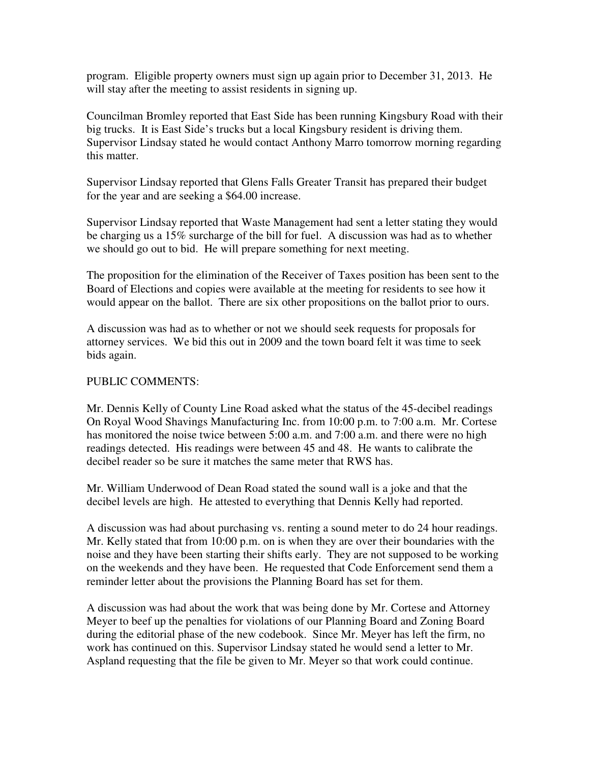program. Eligible property owners must sign up again prior to December 31, 2013. He will stay after the meeting to assist residents in signing up.

Councilman Bromley reported that East Side has been running Kingsbury Road with their big trucks. It is East Side's trucks but a local Kingsbury resident is driving them. Supervisor Lindsay stated he would contact Anthony Marro tomorrow morning regarding this matter.

Supervisor Lindsay reported that Glens Falls Greater Transit has prepared their budget for the year and are seeking a \$64.00 increase.

Supervisor Lindsay reported that Waste Management had sent a letter stating they would be charging us a 15% surcharge of the bill for fuel. A discussion was had as to whether we should go out to bid. He will prepare something for next meeting.

The proposition for the elimination of the Receiver of Taxes position has been sent to the Board of Elections and copies were available at the meeting for residents to see how it would appear on the ballot. There are six other propositions on the ballot prior to ours.

A discussion was had as to whether or not we should seek requests for proposals for attorney services. We bid this out in 2009 and the town board felt it was time to seek bids again.

## PUBLIC COMMENTS:

Mr. Dennis Kelly of County Line Road asked what the status of the 45-decibel readings On Royal Wood Shavings Manufacturing Inc. from 10:00 p.m. to 7:00 a.m. Mr. Cortese has monitored the noise twice between 5:00 a.m. and 7:00 a.m. and there were no high readings detected. His readings were between 45 and 48. He wants to calibrate the decibel reader so be sure it matches the same meter that RWS has.

Mr. William Underwood of Dean Road stated the sound wall is a joke and that the decibel levels are high. He attested to everything that Dennis Kelly had reported.

A discussion was had about purchasing vs. renting a sound meter to do 24 hour readings. Mr. Kelly stated that from 10:00 p.m. on is when they are over their boundaries with the noise and they have been starting their shifts early. They are not supposed to be working on the weekends and they have been. He requested that Code Enforcement send them a reminder letter about the provisions the Planning Board has set for them.

A discussion was had about the work that was being done by Mr. Cortese and Attorney Meyer to beef up the penalties for violations of our Planning Board and Zoning Board during the editorial phase of the new codebook. Since Mr. Meyer has left the firm, no work has continued on this. Supervisor Lindsay stated he would send a letter to Mr. Aspland requesting that the file be given to Mr. Meyer so that work could continue.